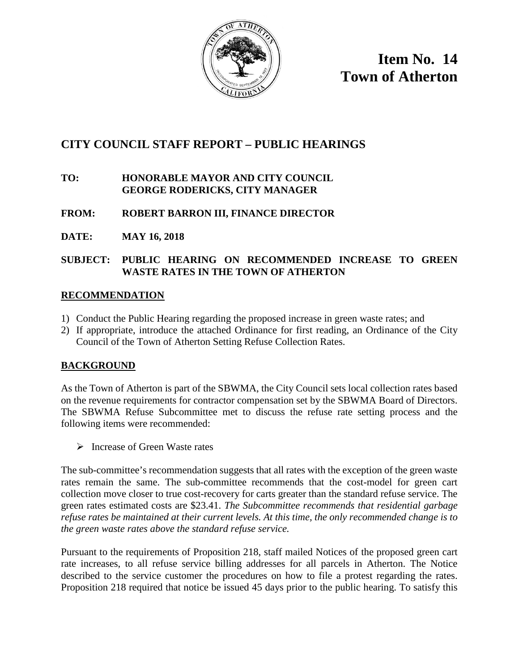

**Item No. 14 Town of Atherton**

# **CITY COUNCIL STAFF REPORT – PUBLIC HEARINGS**

### **TO: HONORABLE MAYOR AND CITY COUNCIL GEORGE RODERICKS, CITY MANAGER**

# **FROM: ROBERT BARRON III, FINANCE DIRECTOR**

**DATE: MAY 16, 2018**

## **SUBJECT: PUBLIC HEARING ON RECOMMENDED INCREASE TO GREEN WASTE RATES IN THE TOWN OF ATHERTON**

### **RECOMMENDATION**

- 1) Conduct the Public Hearing regarding the proposed increase in green waste rates; and
- 2) If appropriate, introduce the attached Ordinance for first reading, an Ordinance of the City Council of the Town of Atherton Setting Refuse Collection Rates.

### **BACKGROUND**

As the Town of Atherton is part of the SBWMA, the City Council sets local collection rates based on the revenue requirements for contractor compensation set by the SBWMA Board of Directors. The SBWMA Refuse Subcommittee met to discuss the refuse rate setting process and the following items were recommended:

 $\triangleright$  Increase of Green Waste rates

The sub-committee's recommendation suggests that all rates with the exception of the green waste rates remain the same. The sub-committee recommends that the cost-model for green cart collection move closer to true cost-recovery for carts greater than the standard refuse service. The green rates estimated costs are \$23.41. *The Subcommittee recommends that residential garbage refuse rates be maintained at their current levels. At this time, the only recommended change is to the green waste rates above the standard refuse service.* 

Pursuant to the requirements of Proposition 218, staff mailed Notices of the proposed green cart rate increases, to all refuse service billing addresses for all parcels in Atherton. The Notice described to the service customer the procedures on how to file a protest regarding the rates. Proposition 218 required that notice be issued 45 days prior to the public hearing. To satisfy this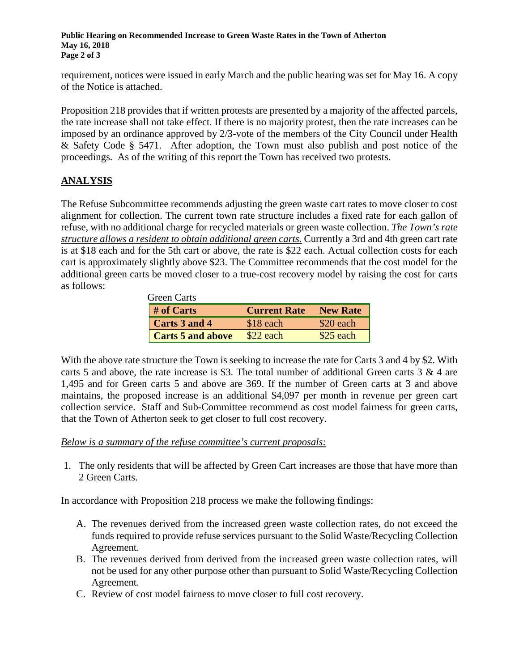**Public Hearing on Recommended Increase to Green Waste Rates in the Town of Atherton May 16, 2018 Page 2 of 3**

requirement, notices were issued in early March and the public hearing was set for May 16. A copy of the Notice is attached.

Proposition 218 provides that if written protests are presented by a majority of the affected parcels, the rate increase shall not take effect. If there is no majority protest, then the rate increases can be imposed by an ordinance approved by 2/3-vote of the members of the City Council under Health & Safety Code § 5471. After adoption, the Town must also publish and post notice of the proceedings. As of the writing of this report the Town has received two protests.

# **ANALYSIS**

The Refuse Subcommittee recommends adjusting the green waste cart rates to move closer to cost alignment for collection. The current town rate structure includes a fixed rate for each gallon of refuse, with no additional charge for recycled materials or green waste collection. *The Town's rate structure allows a resident to obtain additional green carts.* Currently a 3rd and 4th green cart rate is at \$18 each and for the 5th cart or above, the rate is \$22 each. Actual collection costs for each cart is approximately slightly above \$23. The Committee recommends that the cost model for the additional green carts be moved closer to a true-cost recovery model by raising the cost for carts as follows:

| <b>Green Carts</b>       |                     |                 |
|--------------------------|---------------------|-----------------|
| # of Carts               | <b>Current Rate</b> | <b>New Rate</b> |
| Carts 3 and 4            | \$18 each           | \$20 each       |
| <b>Carts 5 and above</b> | $$22$ each          | $$25$ each      |

With the above rate structure the Town is seeking to increase the rate for Carts 3 and 4 by \$2. With carts 5 and above, the rate increase is \$3. The total number of additional Green carts  $3 \& 4$  are 1,495 and for Green carts 5 and above are 369. If the number of Green carts at 3 and above maintains, the proposed increase is an additional \$4,097 per month in revenue per green cart collection service. Staff and Sub-Committee recommend as cost model fairness for green carts, that the Town of Atherton seek to get closer to full cost recovery.

*Below is a summary of the refuse committee's current proposals:*

1. The only residents that will be affected by Green Cart increases are those that have more than 2 Green Carts.

In accordance with Proposition 218 process we make the following findings:

- A. The revenues derived from the increased green waste collection rates, do not exceed the funds required to provide refuse services pursuant to the Solid Waste/Recycling Collection Agreement.
- B. The revenues derived from derived from the increased green waste collection rates, will not be used for any other purpose other than pursuant to Solid Waste/Recycling Collection Agreement.
- C. Review of cost model fairness to move closer to full cost recovery.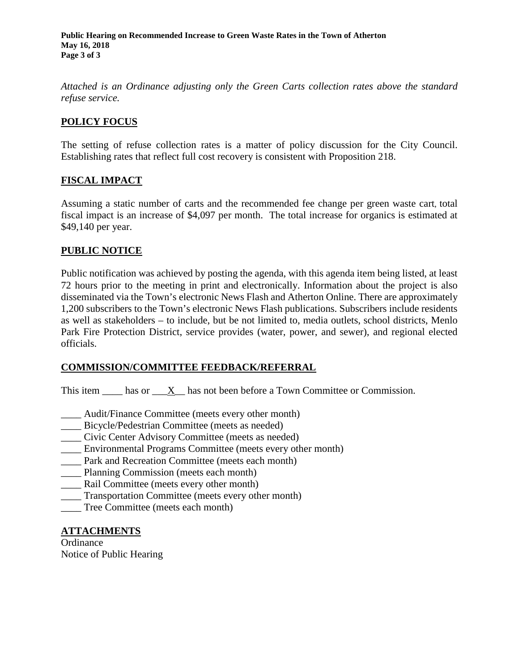**Public Hearing on Recommended Increase to Green Waste Rates in the Town of Atherton May 16, 2018 Page 3 of 3**

*Attached is an Ordinance adjusting only the Green Carts collection rates above the standard refuse service.*

### **POLICY FOCUS**

The setting of refuse collection rates is a matter of policy discussion for the City Council. Establishing rates that reflect full cost recovery is consistent with Proposition 218.

#### **FISCAL IMPACT**

Assuming a static number of carts and the recommended fee change per green waste cart, total fiscal impact is an increase of \$4,097 per month. The total increase for organics is estimated at \$49,140 per year.

### **PUBLIC NOTICE**

Public notification was achieved by posting the agenda, with this agenda item being listed, at least 72 hours prior to the meeting in print and electronically. Information about the project is also disseminated via the Town's electronic News Flash and Atherton Online. There are approximately 1,200 subscribers to the Town's electronic News Flash publications. Subscribers include residents as well as stakeholders – to include, but be not limited to, media outlets, school districts, Menlo Park Fire Protection District, service provides (water, power, and sewer), and regional elected officials.

#### **COMMISSION/COMMITTEE FEEDBACK/REFERRAL**

This item has or X has not been before a Town Committee or Commission.

- \_\_\_\_ Audit/Finance Committee (meets every other month)
- Bicycle/Pedestrian Committee (meets as needed)
- \_\_\_\_ Civic Center Advisory Committee (meets as needed)
- \_\_\_\_ Environmental Programs Committee (meets every other month)
- Park and Recreation Committee (meets each month)
- \_\_\_\_ Planning Commission (meets each month)
- \_\_\_\_ Rail Committee (meets every other month)
- \_\_\_\_ Transportation Committee (meets every other month)
- \_\_\_\_ Tree Committee (meets each month)

#### **ATTACHMENTS**

**Ordinance** Notice of Public Hearing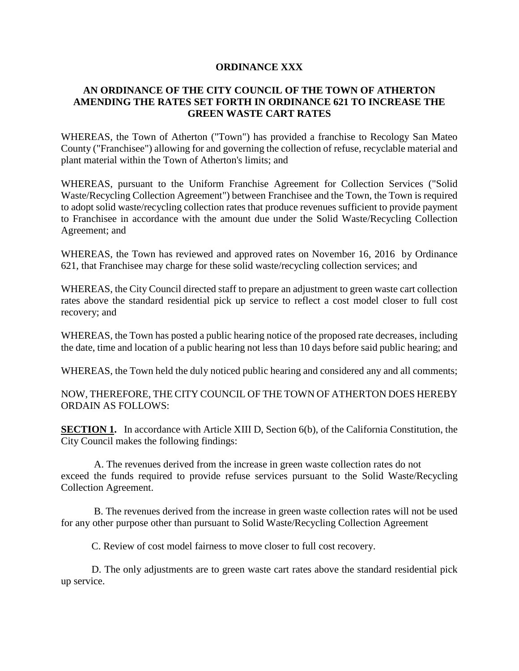#### **ORDINANCE XXX**

### **AN ORDINANCE OF THE CITY COUNCIL OF THE TOWN OF ATHERTON AMENDING THE RATES SET FORTH IN ORDINANCE 621 TO INCREASE THE GREEN WASTE CART RATES**

WHEREAS, the Town of Atherton ("Town") has provided a franchise to Recology San Mateo County ("Franchisee") allowing for and governing the collection of refuse, recyclable material and plant material within the Town of Atherton's limits; and

WHEREAS, pursuant to the Uniform Franchise Agreement for Collection Services ("Solid Waste/Recycling Collection Agreement") between Franchisee and the Town, the Town is required to adopt solid waste/recycling collection rates that produce revenues sufficient to provide payment to Franchisee in accordance with the amount due under the Solid Waste/Recycling Collection Agreement; and

WHEREAS, the Town has reviewed and approved rates on November 16, 2016 by Ordinance 621, that Franchisee may charge for these solid waste/recycling collection services; and

WHEREAS, the City Council directed staff to prepare an adjustment to green waste cart collection rates above the standard residential pick up service to reflect a cost model closer to full cost recovery; and

WHEREAS, the Town has posted a public hearing notice of the proposed rate decreases, including the date, time and location of a public hearing not less than 10 days before said public hearing; and

WHEREAS, the Town held the duly noticed public hearing and considered any and all comments;

NOW, THEREFORE, THE CITY COUNCIL OF THE TOWN OF ATHERTON DOES HEREBY ORDAIN AS FOLLOWS:

**SECTION 1.** In accordance with Article XIII D, Section 6(b), of the California Constitution, the City Council makes the following findings:

 A. The revenues derived from the increase in green waste collection rates do not exceed the funds required to provide refuse services pursuant to the Solid Waste/Recycling Collection Agreement.

 B. The revenues derived from the increase in green waste collection rates will not be used for any other purpose other than pursuant to Solid Waste/Recycling Collection Agreement

C. Review of cost model fairness to move closer to full cost recovery.

D. The only adjustments are to green waste cart rates above the standard residential pick up service.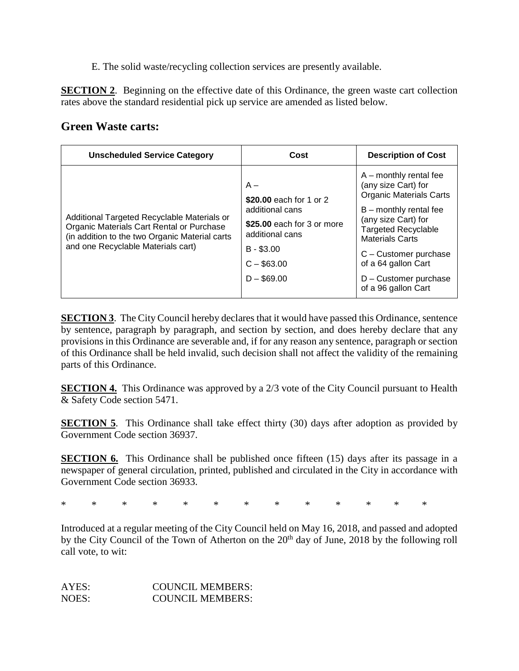E. The solid waste/recycling collection services are presently available.

**SECTION 2.** Beginning on the effective date of this Ordinance, the green waste cart collection rates above the standard residential pick up service are amended as listed below.

# **Green Waste carts:**

| <b>Unscheduled Service Category</b>                                                                                                                                              | Cost                                                                                                                                                | <b>Description of Cost</b>                                                                                                                                                                                                                                                                   |
|----------------------------------------------------------------------------------------------------------------------------------------------------------------------------------|-----------------------------------------------------------------------------------------------------------------------------------------------------|----------------------------------------------------------------------------------------------------------------------------------------------------------------------------------------------------------------------------------------------------------------------------------------------|
| Additional Targeted Recyclable Materials or<br>Organic Materials Cart Rental or Purchase<br>(in addition to the two Organic Material carts<br>and one Recyclable Materials cart) | $A -$<br>\$20.00 each for 1 or 2<br>additional cans<br>\$25.00 each for 3 or more<br>additional cans<br>$B - $3.00$<br>$C - $63.00$<br>$D - $69.00$ | $A$ – monthly rental fee<br>(any size Cart) for<br><b>Organic Materials Carts</b><br>$B$ – monthly rental fee<br>(any size Cart) for<br><b>Targeted Recyclable</b><br><b>Materials Carts</b><br>C - Customer purchase<br>of a 64 gallon Cart<br>D - Customer purchase<br>of a 96 gallon Cart |

**SECTION 3**. The City Council hereby declares that it would have passed this Ordinance, sentence by sentence, paragraph by paragraph, and section by section, and does hereby declare that any provisions in this Ordinance are severable and, if for any reason any sentence, paragraph or section of this Ordinance shall be held invalid, such decision shall not affect the validity of the remaining parts of this Ordinance.

**SECTION 4.** This Ordinance was approved by a 2/3 vote of the City Council pursuant to Health & Safety Code section 5471.

**SECTION 5**. This Ordinance shall take effect thirty (30) days after adoption as provided by Government Code section 36937.

**SECTION 6.** This Ordinance shall be published once fifteen (15) days after its passage in a newspaper of general circulation, printed, published and circulated in the City in accordance with Government Code section 36933.

\* \* \* \* \* \* \* \* \* \* \* \* \*

Introduced at a regular meeting of the City Council held on May 16, 2018, and passed and adopted by the City Council of the Town of Atherton on the 20<sup>th</sup> day of June, 2018 by the following roll call vote, to wit:

| AYES: | <b>COUNCIL MEMBERS:</b> |
|-------|-------------------------|
| NOES: | <b>COUNCIL MEMBERS:</b> |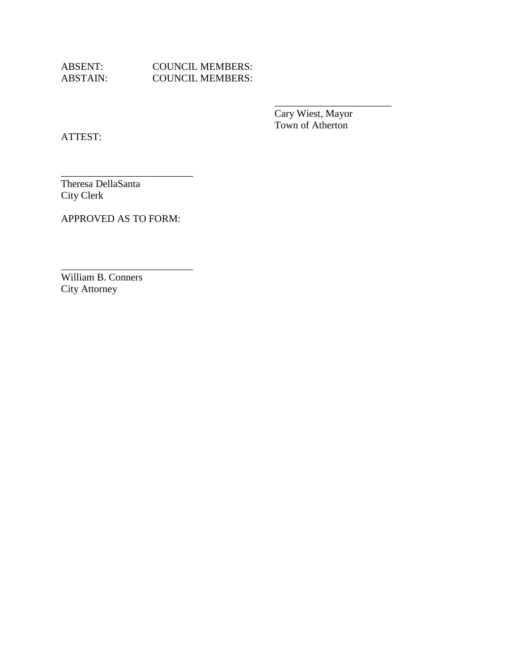ABSENT: COUNCIL MEMBERS:<br>ABSTAIN: COUNCIL MEMBERS: COUNCIL MEMBERS:

> Cary Wiest, Mayor Town of Atherton

\_\_\_\_\_\_\_\_\_\_\_\_\_\_\_\_\_\_\_\_\_\_\_

ATTEST:

\_\_\_\_\_\_\_\_\_\_\_\_\_\_\_\_\_\_\_\_\_\_\_\_\_\_ Theresa DellaSanta City Clerk

APPROVED AS TO FORM:

\_\_\_\_\_\_\_\_\_\_\_\_\_\_\_\_\_\_\_\_\_\_\_\_\_\_

William B. Conners City Attorney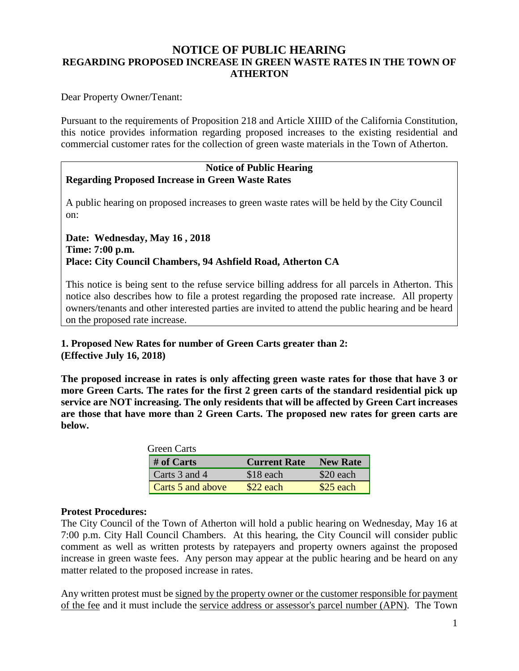# **NOTICE OF PUBLIC HEARING REGARDING PROPOSED INCREASE IN GREEN WASTE RATES IN THE TOWN OF ATHERTON**

Dear Property Owner/Tenant:

Pursuant to the requirements of Proposition 218 and Article XIIID of the California Constitution, this notice provides information regarding proposed increases to the existing residential and commercial customer rates for the collection of green waste materials in the Town of Atherton.

### **Notice of Public Hearing Regarding Proposed Increase in Green Waste Rates**

A public hearing on proposed increases to green waste rates will be held by the City Council on:

**Date: Wednesday, May 16 , 2018 Time: 7:00 p.m. Place: City Council Chambers, 94 Ashfield Road, Atherton CA**

This notice is being sent to the refuse service billing address for all parcels in Atherton. This notice also describes how to file a protest regarding the proposed rate increase. All property owners/tenants and other interested parties are invited to attend the public hearing and be heard on the proposed rate increase.

### **1. Proposed New Rates for number of Green Carts greater than 2: (Effective July 16, 2018)**

**The proposed increase in rates is only affecting green waste rates for those that have 3 or more Green Carts. The rates for the first 2 green carts of the standard residential pick up service are NOT increasing. The only residents that will be affected by Green Cart increases are those that have more than 2 Green Carts. The proposed new rates for green carts are below.**

| <b>Green Carts</b> |                     |                 |
|--------------------|---------------------|-----------------|
| # of Carts         | <b>Current Rate</b> | <b>New Rate</b> |
| Carts 3 and 4      | \$18 each           | \$20 each       |
| Carts 5 and above  | \$22 each           | \$25 each       |

### **Protest Procedures:**

The City Council of the Town of Atherton will hold a public hearing on Wednesday, May 16 at 7:00 p.m. City Hall Council Chambers. At this hearing, the City Council will consider public comment as well as written protests by ratepayers and property owners against the proposed increase in green waste fees. Any person may appear at the public hearing and be heard on any matter related to the proposed increase in rates.

Any written protest must be signed by the property owner or the customer responsible for payment of the fee and it must include the service address or assessor's parcel number (APN). The Town